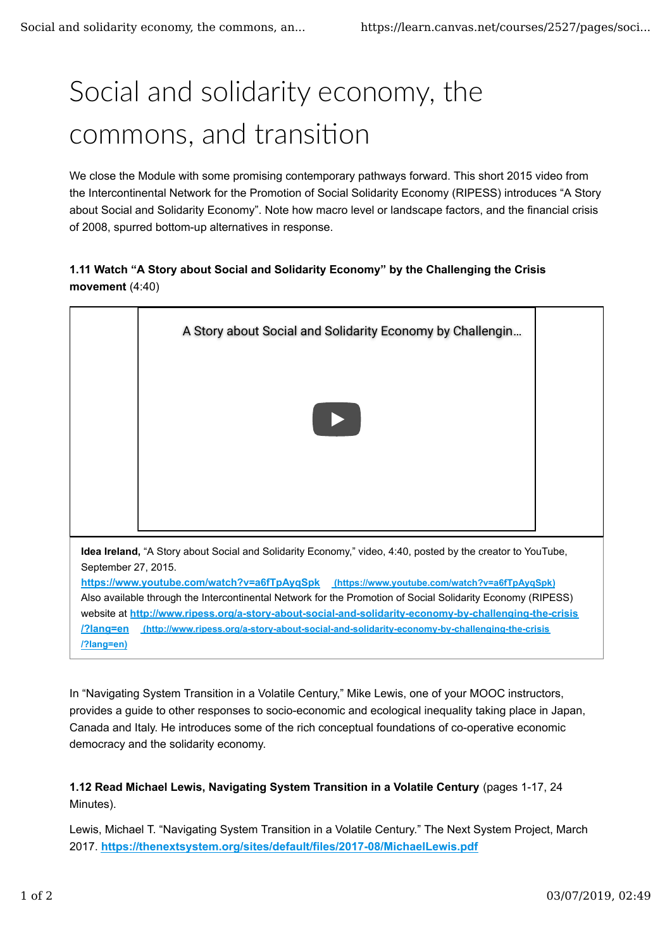## Social and solidarity economy, the commons, and transition

We close the Module with some promising contemporary pathways forward. This short 2015 video from the Intercontinental Network for the Promotion of Social Solidarity Economy (RIPESS) introduces "A Story about Social and Solidarity Economy". Note how macro level or landscape factors, and the financial crisis of 2008, spurred bottom-up alternatives in response.

## **1.11 Watch "A Story about Social and Solidarity Economy" by the Challenging the Crisis movement** (4:40)



**/?lang=en)**

In "Navigating System Transition in a Volatile Century," Mike Lewis, one of your MOOC instructors, provides a guide to other responses to socio-economic and ecological inequality taking place in Japan, Canada and Italy. He introduces some of the rich conceptual foundations of co-operative economic democracy and the solidarity economy.

**1.12 Read Michael Lewis, Navigating System Transition in a Volatile Century** (pages 1-17, 24 Minutes).

Lewis, Michael T. "Navigating System Transition in a Volatile Century." The Next System Project, March 2017. **https://thenextsystem.org/sites/default/files/2017-08/MichaelLewis.pdf**